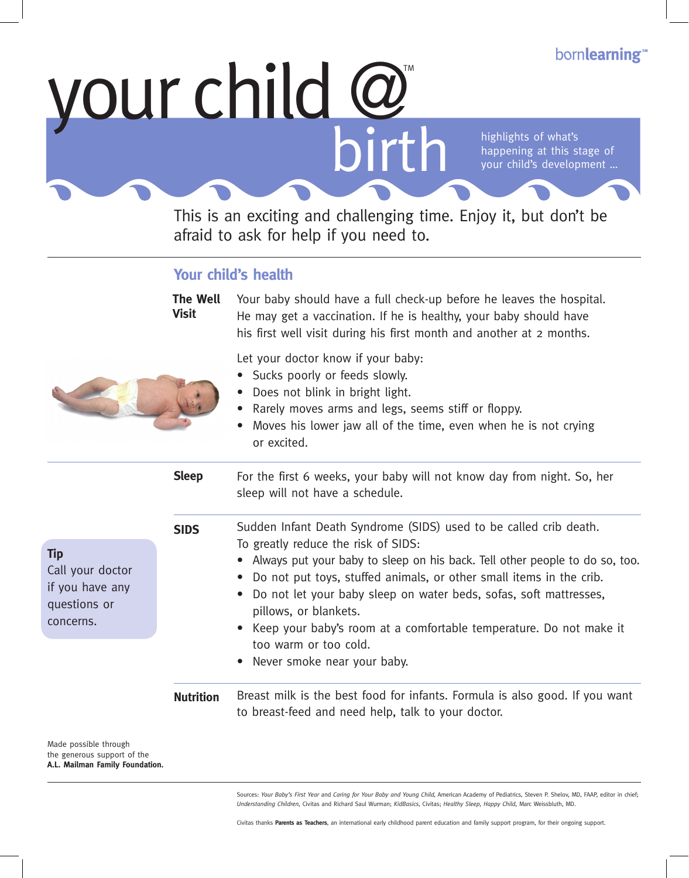# your child @

highlights of what's happening at this stage of your child's development …

This is an exciting and challenging time. Enjoy it, but don't be afraid to ask for help if you need to.

## **Your child's health**

|                                                                                | <b>The Well</b><br><b>Visit</b> | Your baby should have a full check-up before he leaves the hospital.<br>He may get a vaccination. If he is healthy, your baby should have<br>his first well visit during his first month and another at 2 months.                                                                                                                                                                                                                                                                          |
|--------------------------------------------------------------------------------|---------------------------------|--------------------------------------------------------------------------------------------------------------------------------------------------------------------------------------------------------------------------------------------------------------------------------------------------------------------------------------------------------------------------------------------------------------------------------------------------------------------------------------------|
|                                                                                |                                 | Let your doctor know if your baby:<br>• Sucks poorly or feeds slowly.<br>• Does not blink in bright light.<br>Rarely moves arms and legs, seems stiff or floppy.<br>Moves his lower jaw all of the time, even when he is not crying<br>or excited.                                                                                                                                                                                                                                         |
|                                                                                | <b>Sleep</b>                    | For the first 6 weeks, your baby will not know day from night. So, her<br>sleep will not have a schedule.                                                                                                                                                                                                                                                                                                                                                                                  |
| <b>Tip</b><br>Call your doctor<br>if you have any<br>questions or<br>concerns. | <b>SIDS</b>                     | Sudden Infant Death Syndrome (SIDS) used to be called crib death.<br>To greatly reduce the risk of SIDS:<br>Always put your baby to sleep on his back. Tell other people to do so, too.<br>Do not put toys, stuffed animals, or other small items in the crib.<br>Do not let your baby sleep on water beds, sofas, soft mattresses,<br>pillows, or blankets.<br>Keep your baby's room at a comfortable temperature. Do not make it<br>too warm or too cold.<br>Never smoke near your baby. |
|                                                                                | <b>Nutrition</b>                | Breast milk is the best food for infants. Formula is also good. If you want<br>to breast-feed and need help, talk to your doctor.                                                                                                                                                                                                                                                                                                                                                          |
| Made possible through                                                          |                                 |                                                                                                                                                                                                                                                                                                                                                                                                                                                                                            |

the generous support of the **A.L. Mailman Family Foundation.**

> Sources: *Your Baby's First Year* and *Caring for Your Baby and Young Child,* American Academy of Pediatrics, Steven P. Shelov, MD, FAAP, editor in chief; *Understanding Children,* Civitas and Richard Saul Wurman; *KidBasics*, Civitas; *Healthy Sleep, Happy Child,* Marc Weissbluth, MD.